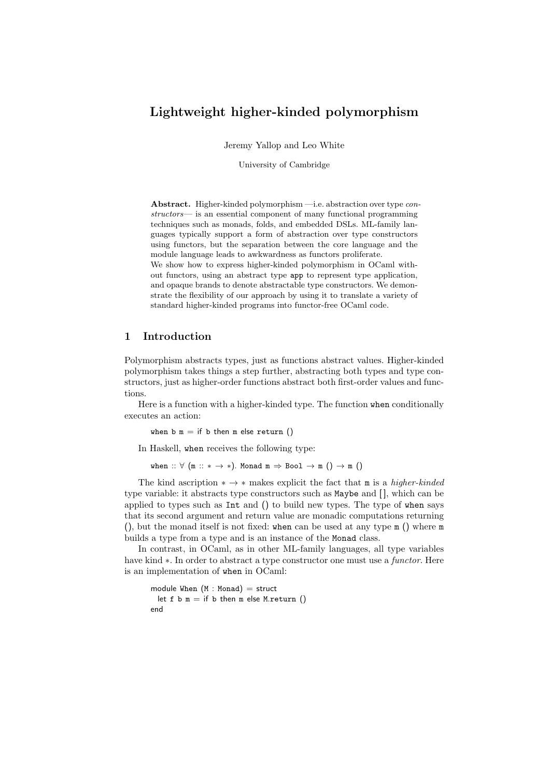# Lightweight higher-kinded polymorphism

Jeremy Yallop and Leo White

University of Cambridge

Abstract. Higher-kinded polymorphism —i.e. abstraction over type constructors— is an essential component of many functional programming techniques such as monads, folds, and embedded DSLs. ML-family languages typically support a form of abstraction over type constructors using functors, but the separation between the core language and the module language leads to awkwardness as functors proliferate.

We show how to express higher-kinded polymorphism in OCaml without functors, using an abstract type app to represent type application, and opaque brands to denote abstractable type constructors. We demonstrate the flexibility of our approach by using it to translate a variety of standard higher-kinded programs into functor-free OCaml code.

## 1 Introduction

Polymorphism abstracts types, just as functions abstract values. Higher-kinded polymorphism takes things a step further, abstracting both types and type constructors, just as higher-order functions abstract both first-order values and functions.

Here is a function with a higher-kinded type. The function when conditionally executes an action:

when  $b$  m = if b then m else return ()

In Haskell, when receives the following type:

when ::  $\forall$  (m :: \*  $\rightarrow$  \*). Monad m  $\Rightarrow$  Bool  $\rightarrow$  m ()  $\rightarrow$  m ()

The kind ascription  $* \rightarrow *$  makes explicit the fact that m is a higher-kinded type variable: it abstracts type constructors such as Maybe and [ ], which can be applied to types such as Int and () to build new types. The type of when says that its second argument and return value are monadic computations returning (), but the monad itself is not fixed: when can be used at any type m () where m builds a type from a type and is an instance of the Monad class.

In contrast, in OCaml, as in other ML-family languages, all type variables have kind ∗. In order to abstract a type constructor one must use a functor. Here is an implementation of when in OCaml:

```
module When (M : Monad) = structlet f b m = if b then m else M.return ()
end
```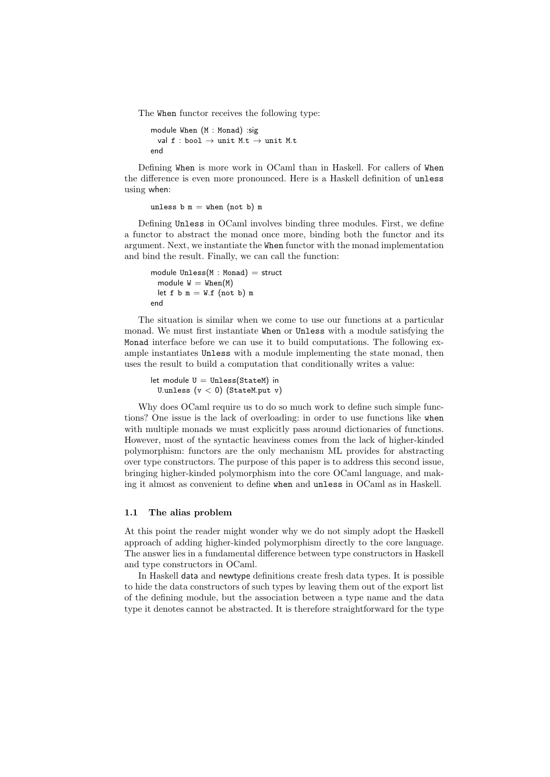The When functor receives the following type:

```
module When (M : Monad) :sig
  val f : bool \rightarrow unit M.t \rightarrow unit M.t
end
```
Defining When is more work in OCaml than in Haskell. For callers of When the difference is even more pronounced. Here is a Haskell definition of unless using when:

```
unless b \nightharpoonup = when (not b) m
```
Defining Unless in OCaml involves binding three modules. First, we define a functor to abstract the monad once more, binding both the functor and its argument. Next, we instantiate the When functor with the monad implementation and bind the result. Finally, we can call the function:

```
module Unless(M : Monad) = structmodule W = When(M)let f b m = W.f (not b) m
end
```
The situation is similar when we come to use our functions at a particular monad. We must first instantiate When or Unless with a module satisfying the Monad interface before we can use it to build computations. The following example instantiates Unless with a module implementing the state monad, then uses the result to build a computation that conditionally writes a value:

```
let module U = Unless(StateM) in
 U.unless (v < 0) (StateM.put v)
```
Why does OCaml require us to do so much work to define such simple functions? One issue is the lack of overloading: in order to use functions like when with multiple monads we must explicitly pass around dictionaries of functions. However, most of the syntactic heaviness comes from the lack of higher-kinded polymorphism: functors are the only mechanism ML provides for abstracting over type constructors. The purpose of this paper is to address this second issue, bringing higher-kinded polymorphism into the core OCaml language, and making it almost as convenient to define when and unless in OCaml as in Haskell.

#### 1.1 The alias problem

At this point the reader might wonder why we do not simply adopt the Haskell approach of adding higher-kinded polymorphism directly to the core language. The answer lies in a fundamental difference between type constructors in Haskell and type constructors in OCaml.

In Haskell data and newtype definitions create fresh data types. It is possible to hide the data constructors of such types by leaving them out of the export list of the defining module, but the association between a type name and the data type it denotes cannot be abstracted. It is therefore straightforward for the type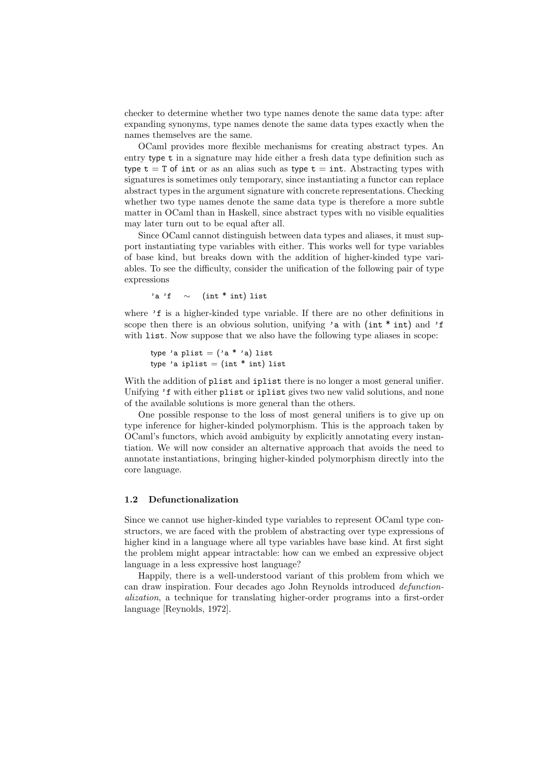checker to determine whether two type names denote the same data type: after expanding synonyms, type names denote the same data types exactly when the names themselves are the same.

OCaml provides more flexible mechanisms for creating abstract types. An entry type t in a signature may hide either a fresh data type definition such as type  $t = T$  of int or as an alias such as type  $t = int$ . Abstracting types with signatures is sometimes only temporary, since instantiating a functor can replace abstract types in the argument signature with concrete representations. Checking whether two type names denote the same data type is therefore a more subtle matter in OCaml than in Haskell, since abstract types with no visible equalities may later turn out to be equal after all.

Since OCaml cannot distinguish between data types and aliases, it must support instantiating type variables with either. This works well for type variables of base kind, but breaks down with the addition of higher-kinded type variables. To see the difficulty, consider the unification of the following pair of type expressions

'a 'f 
$$
\sim
$$
 (int \* int) list

where 'f is a higher-kinded type variable. If there are no other definitions in scope then there is an obvious solution, unifying 'a with  $(int * int)$  and 'f with list. Now suppose that we also have the following type aliases in scope:

$$
\begin{array}{l} \text{type 'a plist} = \left(\text{'a * 'a}\right) \text{list} \\ \text{type 'a iplist} = \left(\text{int * int}\right) \text{list} \end{array}
$$

With the addition of plist and iplist there is no longer a most general unifier. Unifying 'f with either plist or iplist gives two new valid solutions, and none of the available solutions is more general than the others.

One possible response to the loss of most general unifiers is to give up on type inference for higher-kinded polymorphism. This is the approach taken by OCaml's functors, which avoid ambiguity by explicitly annotating every instantiation. We will now consider an alternative approach that avoids the need to annotate instantiations, bringing higher-kinded polymorphism directly into the core language.

### 1.2 Defunctionalization

Since we cannot use higher-kinded type variables to represent OCaml type constructors, we are faced with the problem of abstracting over type expressions of higher kind in a language where all type variables have base kind. At first sight the problem might appear intractable: how can we embed an expressive object language in a less expressive host language?

Happily, there is a well-understood variant of this problem from which we can draw inspiration. Four decades ago John Reynolds introduced defunctionalization, a technique for translating higher-order programs into a first-order language [Reynolds, 1972].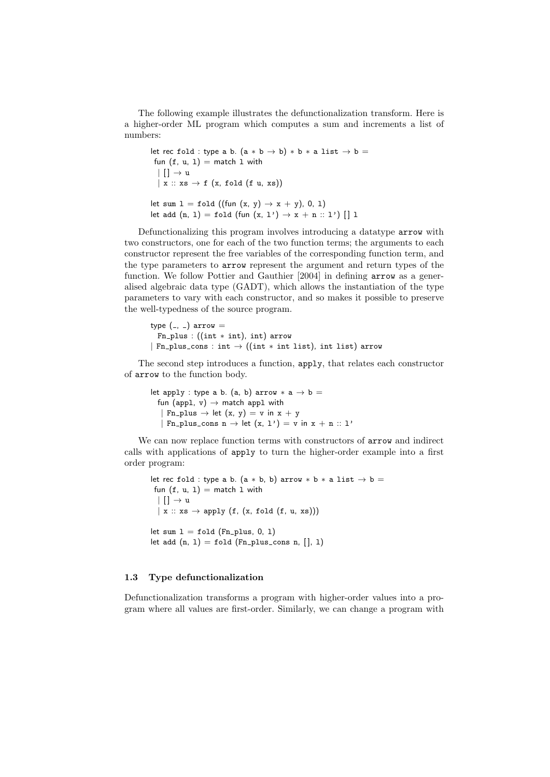The following example illustrates the defunctionalization transform. Here is a higher-order ML program which computes a sum and increments a list of numbers:

```
let rec fold : type a b. (a * b \rightarrow b) * b * a list \rightarrow b =fun (f, u, 1) = match 1 with
 | \nvert \cdot | \cdot \rangleu
 \vert x : x \vert x \to f \vert (x, \text{ fold } (f u, x s))let sum 1 = \text{fold } ((\text{fun } (x, y) \rightarrow x + y), 0, 1)let add (n, 1) = fold (fun (x, 1') \rightarrow x + n :: 1') [] 1
```
Defunctionalizing this program involves introducing a datatype arrow with two constructors, one for each of the two function terms; the arguments to each constructor represent the free variables of the corresponding function term, and the type parameters to arrow represent the argument and return types of the function. We follow Pottier and Gauthier [2004] in defining arrow as a generalised algebraic data type (GADT), which allows the instantiation of the type parameters to vary with each constructor, and so makes it possible to preserve the well-typedness of the source program.

```
type (-, -) arrow =
 Fn plus : ((int ∗ int), int) arrow
| Fn_plus_cons : int \rightarrow ((int * int list), int list) arrow
```
The second step introduces a function, apply, that relates each constructor of arrow to the function body.

let apply : type a b. (a, b) arrow \* a  $\rightarrow$  b = fun (appl,  $v$ )  $\rightarrow$  match appl with | Fn\_plus  $\rightarrow$  let (x, y) = v in x + y | Fn\_plus\_cons n  $\rightarrow$  let  $(x, 1') = v$  in  $x + n :: 1'$ 

We can now replace function terms with constructors of arrow and indirect calls with applications of apply to turn the higher-order example into a first order program:

```
let rec fold : type a b. (a * b, b) arrow * b * a list \rightarrow b =
fun (f, u, 1) = match 1 with
 | | | \rightarrow u
 \vert x : x \vert x \to \text{apply } (f, (x, \text{fold } (f, u, xs)))let sum l = fold (Fn_plus, 0, 1)
let add (n, 1) = fold (Fn\_plus\_cons n, [], 1)
```
## 1.3 Type defunctionalization

Defunctionalization transforms a program with higher-order values into a program where all values are first-order. Similarly, we can change a program with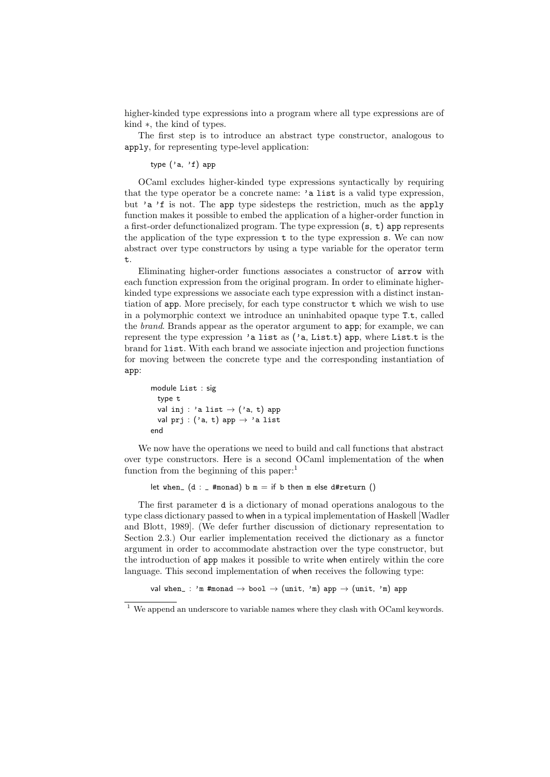higher-kinded type expressions into a program where all type expressions are of kind ∗, the kind of types.

The first step is to introduce an abstract type constructor, analogous to apply, for representing type-level application:

type ('a, 'f) app

OCaml excludes higher-kinded type expressions syntactically by requiring that the type operator be a concrete name: 'a list is a valid type expression, but 'a 'f is not. The app type sidesteps the restriction, much as the apply function makes it possible to embed the application of a higher-order function in a first-order defunctionalized program. The type expression (s, t) app represents the application of the type expression  $t$  to the type expression  $s$ . We can now abstract over type constructors by using a type variable for the operator term t.

Eliminating higher-order functions associates a constructor of arrow with each function expression from the original program. In order to eliminate higherkinded type expressions we associate each type expression with a distinct instantiation of app. More precisely, for each type constructor t which we wish to use in a polymorphic context we introduce an uninhabited opaque type T.t, called the brand. Brands appear as the operator argument to app; for example, we can represent the type expression 'a list as ('a, List.t) app, where List.t is the brand for list. With each brand we associate injection and projection functions for moving between the concrete type and the corresponding instantiation of app:

```
module List : sig
 type t
 val inj : 'a list \rightarrow ('a, t) app
 val prj : ('a, t) app \rightarrow 'a list
end
```
We now have the operations we need to build and call functions that abstract over type constructors. Here is a second OCaml implementation of the when function from the beginning of this paper: $<sup>1</sup>$ </sup>

```
let when (d : 4 \text{ monad}) b m = if b then m else d#return ()
```
The first parameter d is a dictionary of monad operations analogous to the type class dictionary passed to when in a typical implementation of Haskell [Wadler and Blott, 1989]. (We defer further discussion of dictionary representation to Section 2.3.) Our earlier implementation received the dictionary as a functor argument in order to accommodate abstraction over the type constructor, but the introduction of app makes it possible to write when entirely within the core language. This second implementation of when receives the following type:

val when  $\ldots$  'm #monad  $\rightarrow$  bool  $\rightarrow$  (unit, 'm) app  $\rightarrow$  (unit, 'm) app

 $1$  We append an underscore to variable names where they clash with OCaml keywords.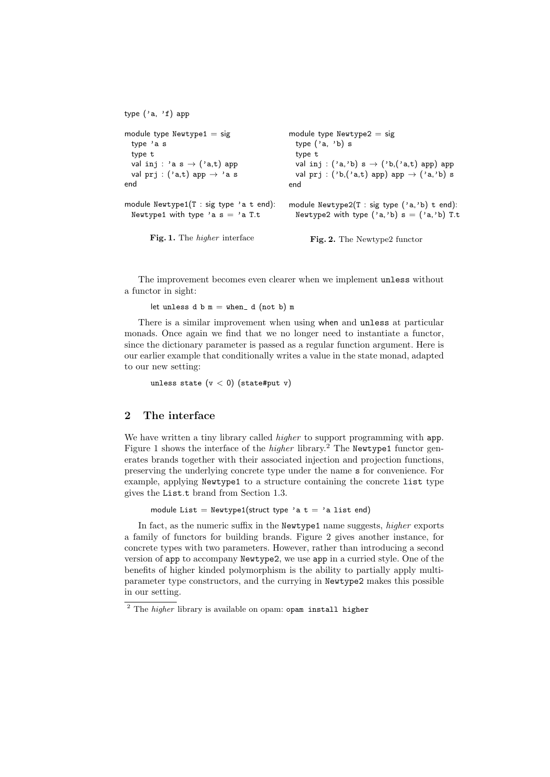```
type ('a, 'f) app
module type Newtype1 = sigtype 'a s
 type t
 val inj : 'a s \rightarrow ('a,t) app
 val prj : ('a,t) app \rightarrow 'a s
end
module Newtype1(T : sig type 'a t end):
 Newtype1 with type 'a s = 'a T.t
       Fig. 1. The higher interface
                                             module type Newtype2 = sigtype ('a, 'b) s
                                               type t
                                               val inj : ('a,'b) s \rightarrow ('b,('a,t) app) appval prj : ('b,('a,t) app) app \rightarrow ('a,'b) s
                                             end
                                             module Newtype2(T : sig type ('a, 'b) t end):
                                               Newtype2 with type ('a,'b) s = ('a,'b) T.t
                                                   Fig. 2. The Newtype2 functor
```
The improvement becomes even clearer when we implement unless without a functor in sight:

let unless d b  $m =$  when d (not b) m

There is a similar improvement when using when and unless at particular monads. Once again we find that we no longer need to instantiate a functor, since the dictionary parameter is passed as a regular function argument. Here is our earlier example that conditionally writes a value in the state monad, adapted to our new setting:

unless state  $(v < 0)$  (state#put v)

# 2 The interface

We have written a tiny library called *higher* to support programming with app. Figure 1 shows the interface of the *higher* library.<sup>2</sup> The Newtype1 functor generates brands together with their associated injection and projection functions, preserving the underlying concrete type under the name s for convenience. For example, applying Newtype1 to a structure containing the concrete list type gives the List.t brand from Section 1.3.

```
module List = Newtype1(struct type 'a t = 'a list end)
```
In fact, as the numeric suffix in the Newtype1 name suggests, *higher* exports a family of functors for building brands. Figure 2 gives another instance, for concrete types with two parameters. However, rather than introducing a second version of app to accompany Newtype2, we use app in a curried style. One of the benefits of higher kinded polymorphism is the ability to partially apply multiparameter type constructors, and the currying in Newtype2 makes this possible in our setting.

 $2$  The *higher* library is available on opam: opam install higher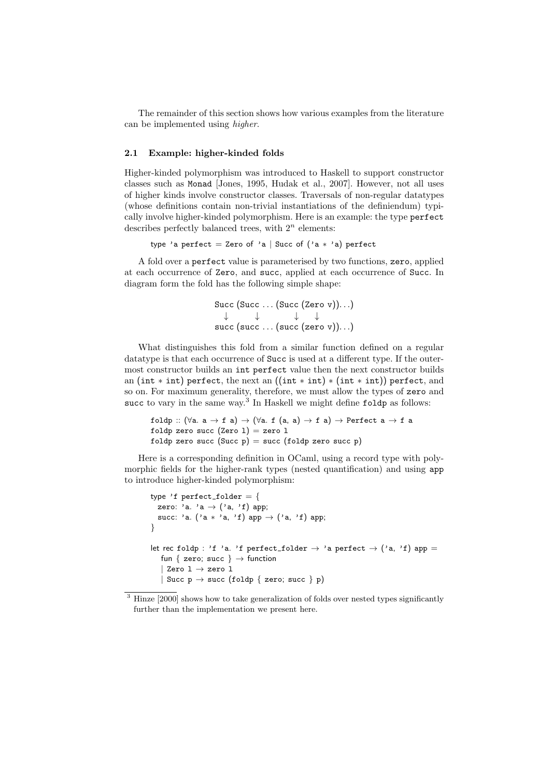The remainder of this section shows how various examples from the literature can be implemented using higher.

#### 2.1 Example: higher-kinded folds

Higher-kinded polymorphism was introduced to Haskell to support constructor classes such as Monad [Jones, 1995, Hudak et al., 2007]. However, not all uses of higher kinds involve constructor classes. Traversals of non-regular datatypes (whose definitions contain non-trivial instantiations of the definiendum) typically involve higher-kinded polymorphism. Here is an example: the type perfect describes perfectly balanced trees, with  $2^n$  elements:

type 'a perfect = Zero of 'a | Succ of  $('a * 'a)$  perfect

A fold over a perfect value is parameterised by two functions, zero, applied at each occurrence of Zero, and succ, applied at each occurrence of Succ. In diagram form the fold has the following simple shape:

> Succ (Succ . . . (Succ (Zero v)). . .) ↓ ↓ ↓ ↓  $\texttt{succ}~(\texttt{succ}~\dots~(\texttt{succ}~(\texttt{zero}~\texttt{v}))\dots)$

What distinguishes this fold from a similar function defined on a regular datatype is that each occurrence of Succ is used at a different type. If the outermost constructor builds an int perfect value then the next constructor builds an (int \* int) perfect, the next an ((int \* int) \* (int \* int)) perfect, and so on. For maximum generality, therefore, we must allow the types of zero and succ to vary in the same way. $3$  In Haskell we might define  $f$ oldp as follows:

```
foldp :: (\forall a. a \rightarrow f a) \rightarrow (\forall a. f (a, a) \rightarrow f a) \rightarrow Perfect a \rightarrow f afoldp zero succ (Zero 1) = zero 1foldp zero succ (Succ p) = succ (foldp zero succ p)
```
Here is a corresponding definition in OCaml, using a record type with polymorphic fields for the higher-rank types (nested quantification) and using app to introduce higher-kinded polymorphism:

```
type 'f perfect_folder = {
 zero: 'a. 'a \rightarrow ('a, 'f) app;
  succ: 'a. ('a * 'a, 'f) app \rightarrow ('a, 'f) app;
}
let rec foldp : 'f 'a. 'f perfect_folder \rightarrow 'a perfect \rightarrow ('a, 'f) app =
   fun { zero; succ } \rightarrow function
   | Zero 1 \rightarrow zero 1| Succ p \rightarrow succ (foldp { zero; succ } p)
```
<sup>3</sup> Hinze [2000] shows how to take generalization of folds over nested types significantly further than the implementation we present here.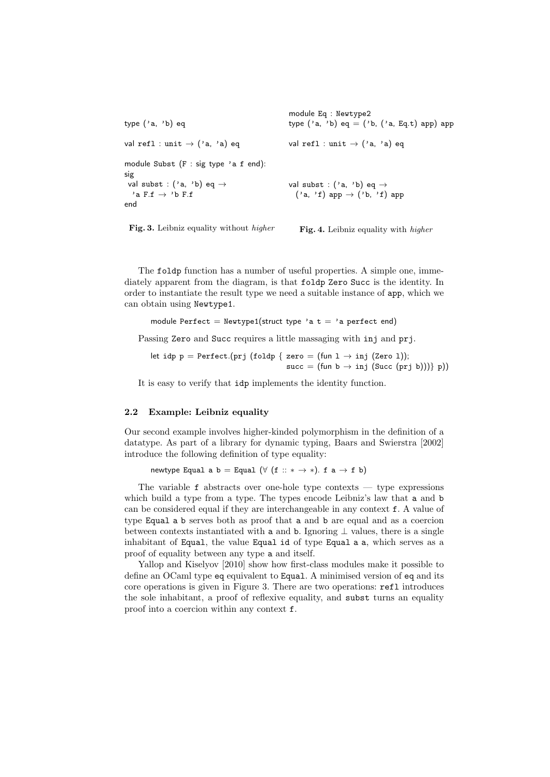```
type ('a, 'b) eq
val refl : unit \rightarrow ('a, 'a) eq
module Subst (F : sig type 'a f end):
sig
 val subst : ('a, 'b) eq \rightarrow'a F.f \rightarrow 'b \ F.fend
                                                   module Eq : Newtype2
                                                   type ('a, 'b) eq = ('b, ('a, Eq.t) app) app
                                                   val refl : unit \rightarrow ('a, 'a) eq
                                                   val subst : ('a, 'b) eq \rightarrow('a, 'f) app \rightarrow ('b, 'f) app
```
Fig. 3. Leibniz equality without higher

Fig. 4. Leibniz equality with higher

The foldp function has a number of useful properties. A simple one, immediately apparent from the diagram, is that foldp Zero Succ is the identity. In order to instantiate the result type we need a suitable instance of app, which we can obtain using Newtype1.

module Perfect = Newtype1(struct type 'a t = 'a perfect end)

Passing Zero and Succ requires a little massaging with inj and prj.

let idp  $p = Perfect(prj (foldp { zero = (fun 1 \rightarrow inj (Zero 1))};$ succ = (fun  $b \rightarrow inj$  (Succ (prj b)))} p))

It is easy to verify that idp implements the identity function.

#### 2.2 Example: Leibniz equality

Our second example involves higher-kinded polymorphism in the definition of a datatype. As part of a library for dynamic typing, Baars and Swierstra [2002] introduce the following definition of type equality:

newtype Equal a b = Equal  $(\forall$  (f :: \*  $\rightarrow$  \*). f a  $\rightarrow$  f b)

The variable  $f$  abstracts over one-hole type contexts — type expressions which build a type from a type. The types encode Leibniz's law that a and b can be considered equal if they are interchangeable in any context f. A value of type Equal a b serves both as proof that a and b are equal and as a coercion between contexts instantiated with a and b. Ignoring  $\perp$  values, there is a single inhabitant of Equal, the value Equal id of type Equal a a, which serves as a proof of equality between any type a and itself.

Yallop and Kiselyov [2010] show how first-class modules make it possible to define an OCaml type eq equivalent to Equal. A minimised version of eq and its core operations is given in Figure 3. There are two operations: refl introduces the sole inhabitant, a proof of reflexive equality, and subst turns an equality proof into a coercion within any context f.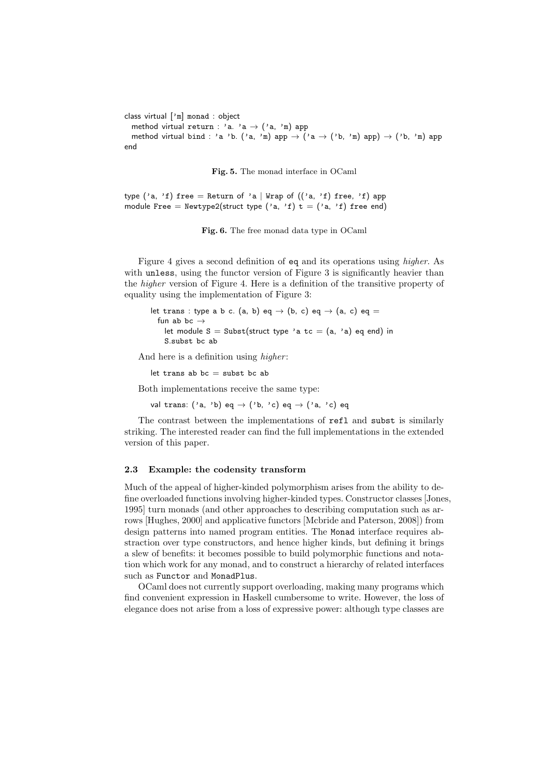```
class virtual ['m] monad : object
```
method virtual return : 'a. 'a  $\rightarrow$  ('a, 'm) app method virtual bind : 'a 'b. ('a, 'm) app  $\rightarrow$  ('a  $\rightarrow$  ('b, 'm) app)  $\rightarrow$  ('b, 'm) app end

Fig. 5. The monad interface in OCaml

type ('a, 'f) free = Return of 'a | Wrap of  $((a, 'f)$  free, 'f) app module Free = Newtype2(struct type  $('a, 'f) t = ('a, 'f)$  free end)

Fig. 6. The free monad data type in OCaml

Figure 4 gives a second definition of eq and its operations using higher. As with unless, using the functor version of Figure 3 is significantly heavier than the higher version of Figure 4. Here is a definition of the transitive property of equality using the implementation of Figure 3:

```
let trans : type a b c. (a, b) eq \rightarrow (b, c) eq \rightarrow (a, c) eq =fun ab bc \rightarrowlet module S = Subst(struct type 'a tc = (a, 'a) eq end) in
    S.subst bc ab
```
And here is a definition using *higher*:

let trans ab  $bc =$  subst bc ab

Both implementations receive the same type:

val trans: ('a, 'b) eq  $\rightarrow$  ('b, 'c) eq  $\rightarrow$  ('a, 'c) eq

The contrast between the implementations of refl and subst is similarly striking. The interested reader can find the full implementations in the extended version of this paper.

### 2.3 Example: the codensity transform

Much of the appeal of higher-kinded polymorphism arises from the ability to define overloaded functions involving higher-kinded types. Constructor classes [Jones, 1995] turn monads (and other approaches to describing computation such as arrows [Hughes, 2000] and applicative functors [Mcbride and Paterson, 2008]) from design patterns into named program entities. The Monad interface requires abstraction over type constructors, and hence higher kinds, but defining it brings a slew of benefits: it becomes possible to build polymorphic functions and notation which work for any monad, and to construct a hierarchy of related interfaces such as Functor and MonadPlus.

OCaml does not currently support overloading, making many programs which find convenient expression in Haskell cumbersome to write. However, the loss of elegance does not arise from a loss of expressive power: although type classes are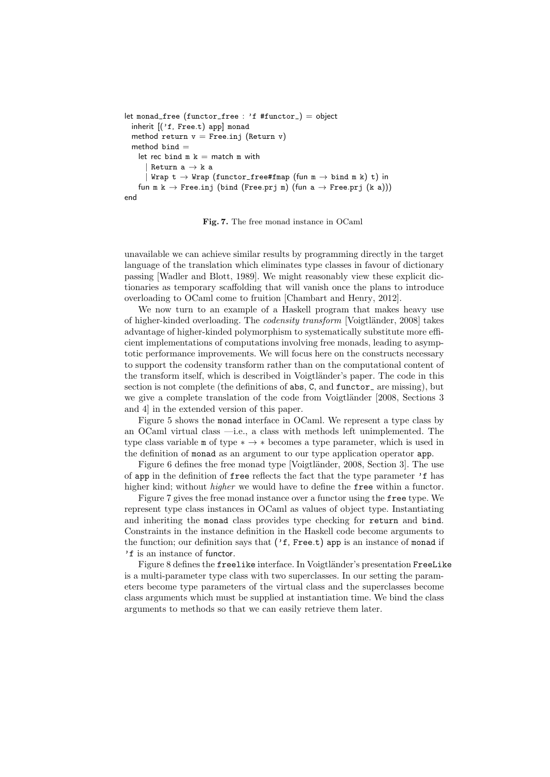```
let monad_free (functor_free : 'f #functor_ ) = objectinherit [('f, Free.t) app] monad
 method return v = Free.inj (Return v)
 method bind =let rec bind m k = match m with
      | Return a \rightarrow k a
      | Wrap t \rightarrow Wrap (functor_free#fmap (fun m \rightarrow bind m k) t) in
    fun m k \rightarrow Free.inj (bind (Free.prj m) (fun a \rightarrow Free.prj (k a)))
end
```
Fig. 7. The free monad instance in OCaml

unavailable we can achieve similar results by programming directly in the target language of the translation which eliminates type classes in favour of dictionary passing [Wadler and Blott, 1989]. We might reasonably view these explicit dictionaries as temporary scaffolding that will vanish once the plans to introduce overloading to OCaml come to fruition [Chambart and Henry, 2012].

We now turn to an example of a Haskell program that makes heavy use of higher-kinded overloading. The *codensity transform* [Voigtländer, 2008] takes advantage of higher-kinded polymorphism to systematically substitute more efficient implementations of computations involving free monads, leading to asymptotic performance improvements. We will focus here on the constructs necessary to support the codensity transform rather than on the computational content of the transform itself, which is described in Voigtländer's paper. The code in this section is not complete (the definitions of  $\texttt{abs}, \texttt{C}, \text{and functor}_-$  are missing), but we give a complete translation of the code from Voigtländer [2008, Sections 3 and 4] in the extended version of this paper.

Figure 5 shows the monad interface in OCaml. We represent a type class by an OCaml virtual class —i.e., a class with methods left unimplemented. The type class variable m of type  $* \rightarrow *$  becomes a type parameter, which is used in the definition of monad as an argument to our type application operator app.

Figure 6 defines the free monad type [Voigtländer, 2008, Section 3]. The use of app in the definition of free reflects the fact that the type parameter 'f has higher kind; without higher we would have to define the free within a functor.

Figure 7 gives the free monad instance over a functor using the free type. We represent type class instances in OCaml as values of object type. Instantiating and inheriting the monad class provides type checking for return and bind. Constraints in the instance definition in the Haskell code become arguments to the function; our definition says that  $('f, Free.t)$  app is an instance of monad if 'f is an instance of functor.

Figure 8 defines the freelike interface. In Voigtländer's presentation FreeLike is a multi-parameter type class with two superclasses. In our setting the parameters become type parameters of the virtual class and the superclasses become class arguments which must be supplied at instantiation time. We bind the class arguments to methods so that we can easily retrieve them later.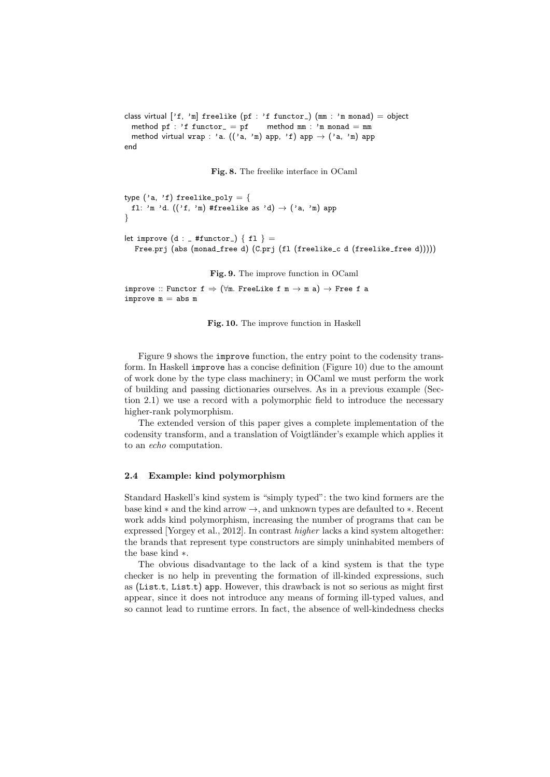class virtual  $['f, 'm]$  freelike (pf : 'f functor\_) (mm : 'm monad) = object method pf : 'f functor = pf method mm : 'm monad = mm method virtual wrap : 'a.  $((a, 'm)$  app, 'f) app  $\rightarrow$  ('a, 'm) app end

Fig. 8. The freelike interface in OCaml

type ('a, 'f) freelike\_poly = { fl: 'm 'd.  $(('f, 'm)$  #freelike as 'd)  $\rightarrow$  ('a, 'm) app }

let improve  $(d : 4$  #functor  $) \{ f1 \} =$ Free.prj (abs (monad\_free d) (C.prj (fl (freelike\_c d (freelike\_free d)))))

Fig. 9. The improve function in OCaml

improve :: Functor  $f \Rightarrow (\forall m.$  FreeLike f m  $\rightarrow$  m a)  $\rightarrow$  Free f a  $improve m = abs m$ 

Fig. 10. The improve function in Haskell

Figure 9 shows the improve function, the entry point to the codensity transform. In Haskell improve has a concise definition (Figure 10) due to the amount of work done by the type class machinery; in OCaml we must perform the work of building and passing dictionaries ourselves. As in a previous example (Section 2.1) we use a record with a polymorphic field to introduce the necessary higher-rank polymorphism.

The extended version of this paper gives a complete implementation of the codensity transform, and a translation of Voigtländer's example which applies it to an echo computation.

## 2.4 Example: kind polymorphism

Standard Haskell's kind system is "simply typed": the two kind formers are the base kind ∗ and the kind arrow →, and unknown types are defaulted to ∗. Recent work adds kind polymorphism, increasing the number of programs that can be expressed [Yorgey et al., 2012]. In contrast higher lacks a kind system altogether: the brands that represent type constructors are simply uninhabited members of the base kind ∗.

The obvious disadvantage to the lack of a kind system is that the type checker is no help in preventing the formation of ill-kinded expressions, such as (List.t, List.t) app. However, this drawback is not so serious as might first appear, since it does not introduce any means of forming ill-typed values, and so cannot lead to runtime errors. In fact, the absence of well-kindedness checks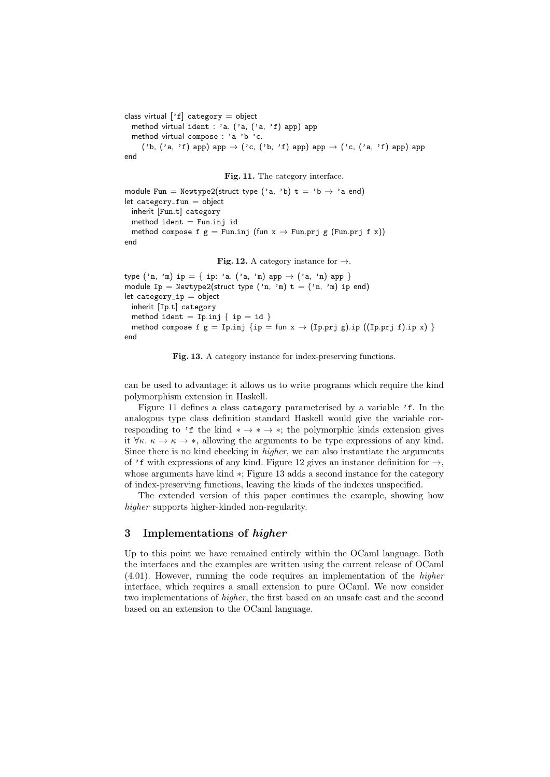class virtual  $['f]$  category = object method virtual ident : 'a. ('a, ('a, 'f) app) app method virtual compose : 'a 'b 'c.  $( 'b, ('a, 'f)$  app) app  $\rightarrow ('c, ('b, 'f)$  app) app  $\rightarrow ('c, ('a, 'f)$  app) app end

Fig. 11. The category interface.

module Fun = Newtype2(struct type  $('a, 'b) t = 'b \rightarrow 'a$  end)  $let category_fun = object$ inherit [Fun.t] category method ident  $=$  Fun.inj id method compose f  $g = Fun.inj$  (fun  $x \rightarrow Fun.prj$  g (Fun.prj f x)) end

Fig. 12. A category instance for  $\rightarrow$ .

type  $('n, 'm)$  ip = { ip: 'a.  $('a, 'm)$  app  $\rightarrow$   $('a, 'n)$  app } module Ip = Newtype2(struct type  $('n, 'm) t = ('n, 'm)$  ip end)  $let category_i$  = object inherit [Ip.t] category method ident = Ip.inj { ip = id } method compose f  $g = Ip.inj$  {ip = fun  $x \rightarrow (Ip.prj g).ip ((Ip.prj f).ip x)$  } end

Fig. 13. A category instance for index-preserving functions.

can be used to advantage: it allows us to write programs which require the kind polymorphism extension in Haskell.

Figure 11 defines a class category parameterised by a variable 'f. In the analogous type class definition standard Haskell would give the variable corresponding to 'f the kind  $* \rightarrow * \rightarrow *$ ; the polymorphic kinds extension gives it  $\forall \kappa, \kappa \to \kappa \to *$ , allowing the arguments to be type expressions of any kind. Since there is no kind checking in higher, we can also instantiate the arguments of 'f with expressions of any kind. Figure 12 gives an instance definition for  $\rightarrow$ , whose arguments have kind ∗; Figure 13 adds a second instance for the category of index-preserving functions, leaving the kinds of the indexes unspecified.

The extended version of this paper continues the example, showing how higher supports higher-kinded non-regularity.

## 3 Implementations of higher

Up to this point we have remained entirely within the OCaml language. Both the interfaces and the examples are written using the current release of OCaml (4.01). However, running the code requires an implementation of the higher interface, which requires a small extension to pure OCaml. We now consider two implementations of higher, the first based on an unsafe cast and the second based on an extension to the OCaml language.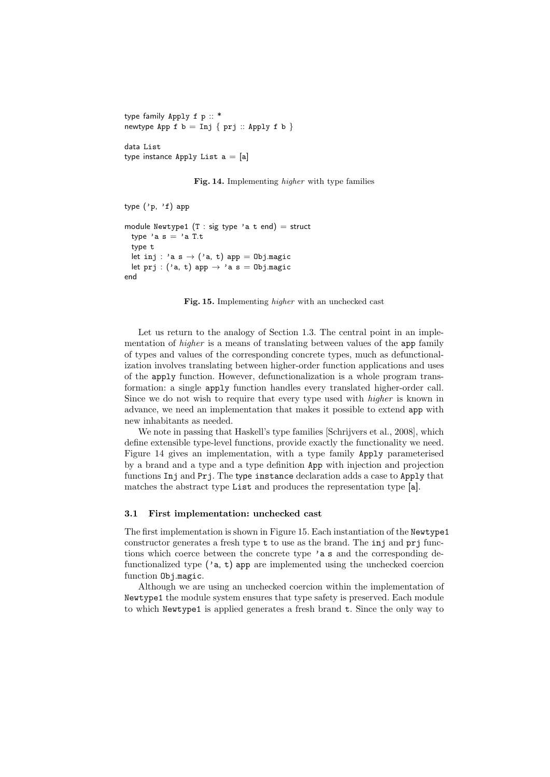```
type family Apply f p :: *
newtype App f b = Inj \{ prj :: Apply f b \}data List
type instance Apply List a = [a]
```
Fig. 14. Implementing higher with type families

```
type ('p, 'f) app
```

```
module Newtype1 (T : sig type 'a t end) = structtype 'a s = 'a T.t
 type t
 let inj : 'a s \rightarrow ('a, t) app = Obj.magic
 let prj : ('a, t) app \rightarrow 'a s = Obj.magic
end
```
Fig. 15. Implementing higher with an unchecked cast

Let us return to the analogy of Section 1.3. The central point in an implementation of *higher* is a means of translating between values of the app family of types and values of the corresponding concrete types, much as defunctionalization involves translating between higher-order function applications and uses of the apply function. However, defunctionalization is a whole program transformation: a single apply function handles every translated higher-order call. Since we do not wish to require that every type used with higher is known in advance, we need an implementation that makes it possible to extend app with new inhabitants as needed.

We note in passing that Haskell's type families [Schrijvers et al., 2008], which define extensible type-level functions, provide exactly the functionality we need. Figure 14 gives an implementation, with a type family Apply parameterised by a brand and a type and a type definition App with injection and projection functions Inj and Prj. The type instance declaration adds a case to Apply that matches the abstract type List and produces the representation type [a].

#### 3.1 First implementation: unchecked cast

The first implementation is shown in Figure 15. Each instantiation of the Newtype1 constructor generates a fresh type  $t$  to use as the brand. The inj and  $\pi i$  functions which coerce between the concrete type 'a s and the corresponding defunctionalized type  $(\alpha, t)$  app are implemented using the unchecked coercion function Obj.magic.

Although we are using an unchecked coercion within the implementation of Newtype1 the module system ensures that type safety is preserved. Each module to which Newtype1 is applied generates a fresh brand t. Since the only way to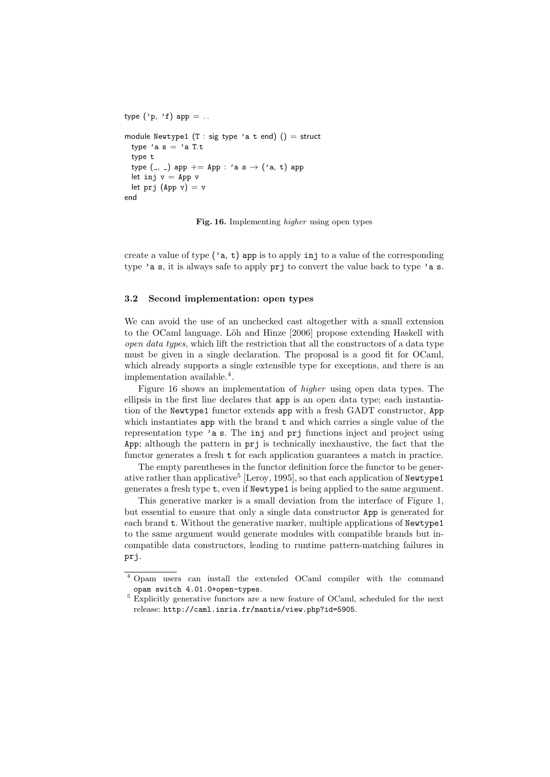type  $('p, 'f)$  app  $=$  .. module Newtype1 (T : sig type 'a t end) () = struct type 'a  $s = 'a$  T.t type t type  $\binom{1}{r}$  app  $\pm$  App : 'a s  $\rightarrow$  ('a, t) app let inj  $v = App v$ let prj (App  $v) = v$ end

Fig. 16. Implementing higher using open types

create a value of type  $(\cdot a, t)$  app is to apply inj to a value of the corresponding type 'a s, it is always safe to apply  $pri$  to convert the value back to type 'a s.

#### 3.2 Second implementation: open types

We can avoid the use of an unchecked cast altogether with a small extension to the OCaml language. Löh and Hinze [2006] propose extending Haskell with open data types, which lift the restriction that all the constructors of a data type must be given in a single declaration. The proposal is a good fit for OCaml, which already supports a single extensible type for exceptions, and there is an implementation available.<sup>4</sup>.

Figure 16 shows an implementation of higher using open data types. The ellipsis in the first line declares that app is an open data type; each instantiation of the Newtype1 functor extends app with a fresh GADT constructor, App which instantiates app with the brand  $t$  and which carries a single value of the representation type 'a s. The inj and prj functions inject and project using App; although the pattern in prj is technically inexhaustive, the fact that the functor generates a fresh t for each application guarantees a match in practice.

The empty parentheses in the functor definition force the functor to be generative rather than applicative $^5$  [Leroy, 1995], so that each application of Newtype1 generates a fresh type t, even if Newtype1 is being applied to the same argument.

This generative marker is a small deviation from the interface of Figure 1, but essential to ensure that only a single data constructor App is generated for each brand t. Without the generative marker, multiple applications of Newtype1 to the same argument would generate modules with compatible brands but incompatible data constructors, leading to runtime pattern-matching failures in prj.

<sup>4</sup> Opam users can install the extended OCaml compiler with the command opam switch 4.01.0+open-types.

<sup>5</sup> Explicitly generative functors are a new feature of OCaml, scheduled for the next release: http://caml.inria.fr/mantis/view.php?id=5905.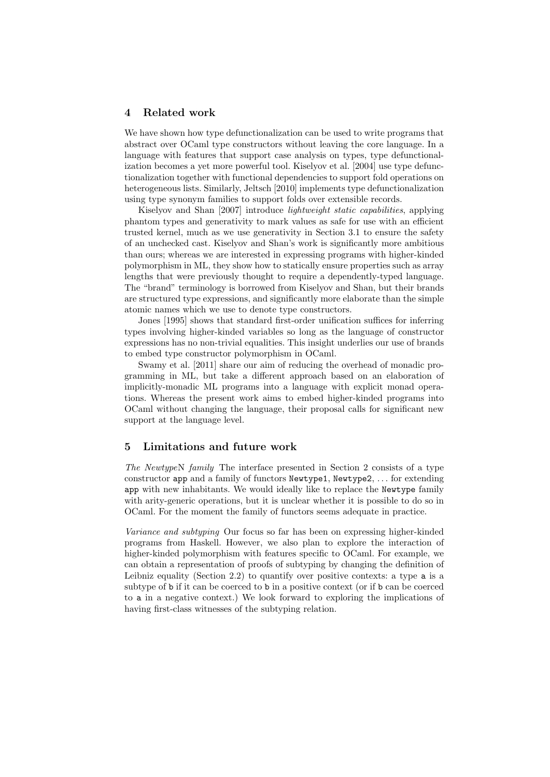## 4 Related work

We have shown how type defunctionalization can be used to write programs that abstract over OCaml type constructors without leaving the core language. In a language with features that support case analysis on types, type defunctionalization becomes a yet more powerful tool. Kiselyov et al. [2004] use type defunctionalization together with functional dependencies to support fold operations on heterogeneous lists. Similarly, Jeltsch [2010] implements type defunctionalization using type synonym families to support folds over extensible records.

Kiselyov and Shan [2007] introduce lightweight static capabilities, applying phantom types and generativity to mark values as safe for use with an efficient trusted kernel, much as we use generativity in Section 3.1 to ensure the safety of an unchecked cast. Kiselyov and Shan's work is significantly more ambitious than ours; whereas we are interested in expressing programs with higher-kinded polymorphism in ML, they show how to statically ensure properties such as array lengths that were previously thought to require a dependently-typed language. The "brand" terminology is borrowed from Kiselyov and Shan, but their brands are structured type expressions, and significantly more elaborate than the simple atomic names which we use to denote type constructors.

Jones [1995] shows that standard first-order unification suffices for inferring types involving higher-kinded variables so long as the language of constructor expressions has no non-trivial equalities. This insight underlies our use of brands to embed type constructor polymorphism in OCaml.

Swamy et al. [2011] share our aim of reducing the overhead of monadic programming in ML, but take a different approach based on an elaboration of implicitly-monadic ML programs into a language with explicit monad operations. Whereas the present work aims to embed higher-kinded programs into OCaml without changing the language, their proposal calls for significant new support at the language level.

## 5 Limitations and future work

The NewtypeN family The interface presented in Section 2 consists of a type constructor app and a family of functors Newtype1, Newtype2, ... for extending app with new inhabitants. We would ideally like to replace the Newtype family with arity-generic operations, but it is unclear whether it is possible to do so in OCaml. For the moment the family of functors seems adequate in practice.

Variance and subtyping Our focus so far has been on expressing higher-kinded programs from Haskell. However, we also plan to explore the interaction of higher-kinded polymorphism with features specific to OCaml. For example, we can obtain a representation of proofs of subtyping by changing the definition of Leibniz equality (Section 2.2) to quantify over positive contexts: a type a is a subtype of b if it can be coerced to b in a positive context (or if b can be coerced to a in a negative context.) We look forward to exploring the implications of having first-class witnesses of the subtyping relation.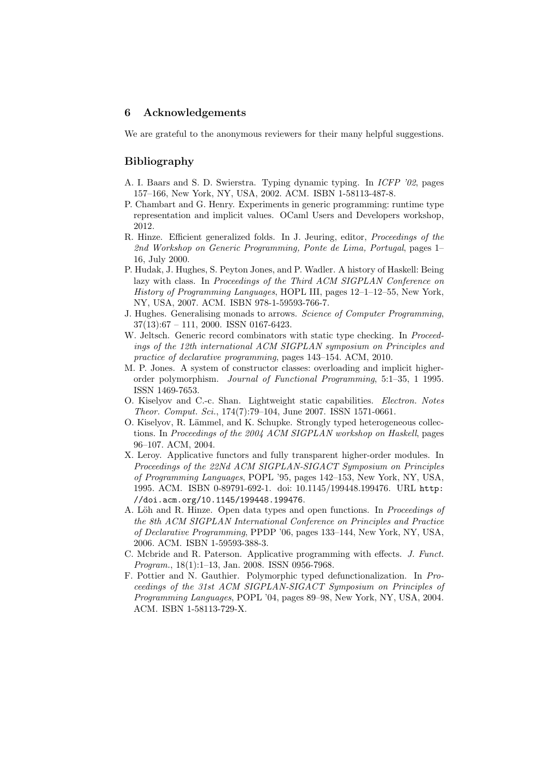## 6 Acknowledgements

We are grateful to the anonymous reviewers for their many helpful suggestions.

# Bibliography

- A. I. Baars and S. D. Swierstra. Typing dynamic typing. In ICFP '02, pages 157–166, New York, NY, USA, 2002. ACM. ISBN 1-58113-487-8.
- P. Chambart and G. Henry. Experiments in generic programming: runtime type representation and implicit values. OCaml Users and Developers workshop, 2012.
- R. Hinze. Efficient generalized folds. In J. Jeuring, editor, Proceedings of the 2nd Workshop on Generic Programming, Ponte de Lima, Portugal, pages 1– 16, July 2000.
- P. Hudak, J. Hughes, S. Peyton Jones, and P. Wadler. A history of Haskell: Being lazy with class. In Proceedings of the Third ACM SIGPLAN Conference on History of Programming Languages, HOPL III, pages 12–1–12–55, New York, NY, USA, 2007. ACM. ISBN 978-1-59593-766-7.
- J. Hughes. Generalising monads to arrows. Science of Computer Programming,  $37(13):67 - 111$ , 2000. ISSN 0167-6423.
- W. Jeltsch. Generic record combinators with static type checking. In Proceedings of the 12th international ACM SIGPLAN symposium on Principles and practice of declarative programming, pages 143–154. ACM, 2010.
- M. P. Jones. A system of constructor classes: overloading and implicit higherorder polymorphism. Journal of Functional Programming, 5:1–35, 1 1995. ISSN 1469-7653.
- O. Kiselyov and C.-c. Shan. Lightweight static capabilities. Electron. Notes Theor. Comput. Sci., 174(7):79–104, June 2007. ISSN 1571-0661.
- O. Kiselyov, R. Lämmel, and K. Schupke. Strongly typed heterogeneous collections. In Proceedings of the 2004 ACM SIGPLAN workshop on Haskell, pages 96–107. ACM, 2004.
- X. Leroy. Applicative functors and fully transparent higher-order modules. In Proceedings of the 22Nd ACM SIGPLAN-SIGACT Symposium on Principles of Programming Languages, POPL '95, pages 142–153, New York, NY, USA, 1995. ACM. ISBN 0-89791-692-1. doi: 10.1145/199448.199476. URL http: //doi.acm.org/10.1145/199448.199476.
- A. Löh and R. Hinze. Open data types and open functions. In *Proceedings of* the 8th ACM SIGPLAN International Conference on Principles and Practice of Declarative Programming, PPDP '06, pages 133–144, New York, NY, USA, 2006. ACM. ISBN 1-59593-388-3.
- C. Mcbride and R. Paterson. Applicative programming with effects. J. Funct. Program., 18(1):1–13, Jan. 2008. ISSN 0956-7968.
- F. Pottier and N. Gauthier. Polymorphic typed defunctionalization. In Proceedings of the 31st ACM SIGPLAN-SIGACT Symposium on Principles of Programming Languages, POPL '04, pages 89–98, New York, NY, USA, 2004. ACM. ISBN 1-58113-729-X.